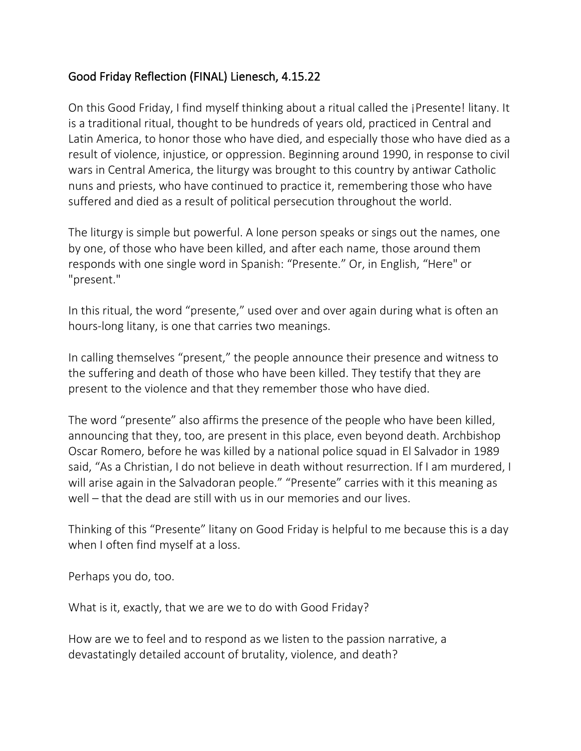## Good Friday Reflection (FINAL) Lienesch, 4.15.22

On this Good Friday, I find myself thinking about a ritual called the ¡Presente! litany. It is a traditional ritual, thought to be hundreds of years old, practiced in Central and Latin America, to honor those who have died, and especially those who have died as a result of violence, injustice, or oppression. Beginning around 1990, in response to civil wars in Central America, the liturgy was brought to this country by antiwar Catholic nuns and priests, who have continued to practice it, remembering those who have suffered and died as a result of political persecution throughout the world.

The liturgy is simple but powerful. A lone person speaks or sings out the names, one by one, of those who have been killed, and after each name, those around them responds with one single word in Spanish: "Presente." Or, in English, "Here" or "present."

In this ritual, the word "presente," used over and over again during what is often an hours-long litany, is one that carries two meanings.

In calling themselves "present," the people announce their presence and witness to the suffering and death of those who have been killed. They testify that they are present to the violence and that they remember those who have died.

The word "presente" also affirms the presence of the people who have been killed, announcing that they, too, are present in this place, even beyond death. Archbishop Oscar Romero, before he was killed by a national police squad in El Salvador in 1989 said, "As a Christian, I do not believe in death without resurrection. If I am murdered, I will arise again in the Salvadoran people." "Presente" carries with it this meaning as well – that the dead are still with us in our memories and our lives.

Thinking of this "Presente" litany on Good Friday is helpful to me because this is a day when I often find myself at a loss.

Perhaps you do, too.

What is it, exactly, that we are we to do with Good Friday?

How are we to feel and to respond as we listen to the passion narrative, a devastatingly detailed account of brutality, violence, and death?